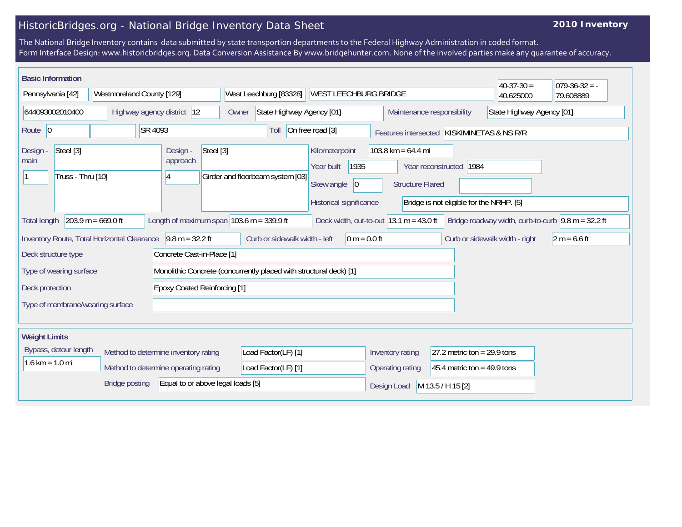## HistoricBridges.org - National Bridge Inventory Data Sheet

## **2010 Inventory**

The National Bridge Inventory contains data submitted by state transportion departments to the Federal Highway Administration in coded format. Form Interface Design: www.historicbridges.org. Data Conversion Assistance By www.bridgehunter.com. None of the involved parties make any guarantee of accuracy.

| <b>Basic Information</b>                                                                                                                                                                                                 |  |                            |                                         |                                                                        |                                                                    |                                                        |                                       |             |                                                                     |                                                   |                                                         |           |           | $40-37-30=$ | $ 079-36-32 = -$ |
|--------------------------------------------------------------------------------------------------------------------------------------------------------------------------------------------------------------------------|--|----------------------------|-----------------------------------------|------------------------------------------------------------------------|--------------------------------------------------------------------|--------------------------------------------------------|---------------------------------------|-------------|---------------------------------------------------------------------|---------------------------------------------------|---------------------------------------------------------|-----------|-----------|-------------|------------------|
| Pennsylvania [42]                                                                                                                                                                                                        |  | Westmoreland County [129]  |                                         |                                                                        |                                                                    | West Leechburg [83328]<br><b>WEST LEECHBURG BRIDGE</b> |                                       |             |                                                                     |                                                   |                                                         | 40.625000 | 79.608889 |             |                  |
| 644093002010400                                                                                                                                                                                                          |  | Highway agency district 12 |                                         |                                                                        |                                                                    | State Highway Agency [01]<br>Owner                     |                                       |             |                                                                     |                                                   | State Highway Agency [01]<br>Maintenance responsibility |           |           |             |                  |
| SR 4093<br>Route 0                                                                                                                                                                                                       |  |                            |                                         | On free road [3]<br>Toll<br>Features intersected KISKIMINETAS & NS R/R |                                                                    |                                                        |                                       |             |                                                                     |                                                   |                                                         |           |           |             |                  |
| Steel [3]<br>Design -<br>main<br>Truss - Thru [10]                                                                                                                                                                       |  |                            | Design -<br>Steel [3]<br>approach<br>14 |                                                                        | Girder and floorbeam system [03]                                   |                                                        | Kilometerpoint<br>Year built          | 1935        |                                                                     | 103.8 km = $64.4$ mi                              | Year reconstructed 1984                                 |           |           |             |                  |
|                                                                                                                                                                                                                          |  |                            |                                         |                                                                        |                                                                    |                                                        | Skew angle<br>Historical significance | $ 0\rangle$ | <b>Structure Flared</b><br>Bridge is not eligible for the NRHP. [5] |                                                   |                                                         |           |           |             |                  |
| $203.9 m = 669.0 ft$<br>Length of maximum span $103.6$ m = 339.9 ft<br>Deck width, out-to-out $ 13.1 \text{ m} = 43.0 \text{ ft} $<br>Bridge roadway width, curb-to-curb $\sqrt{9.8}$ m = 32.2 ft<br><b>Total length</b> |  |                            |                                         |                                                                        |                                                                    |                                                        |                                       |             |                                                                     |                                                   |                                                         |           |           |             |                  |
| $9.8 m = 32.2 ft$<br>Inventory Route, Total Horizontal Clearance                                                                                                                                                         |  |                            |                                         |                                                                        | Curb or sidewalk width - left<br>$0 m = 0.0 ft$                    |                                                        |                                       |             |                                                                     | Curb or sidewalk width - right                    | $2 m = 6.6 ft$                                          |           |           |             |                  |
| Concrete Cast-in-Place [1]<br>Deck structure type                                                                                                                                                                        |  |                            |                                         |                                                                        |                                                                    |                                                        |                                       |             |                                                                     |                                                   |                                                         |           |           |             |                  |
| Type of wearing surface                                                                                                                                                                                                  |  |                            |                                         |                                                                        | Monolithic Concrete (concurrently placed with structural deck) [1] |                                                        |                                       |             |                                                                     |                                                   |                                                         |           |           |             |                  |
| <b>Epoxy Coated Reinforcing [1]</b><br>Deck protection                                                                                                                                                                   |  |                            |                                         |                                                                        |                                                                    |                                                        |                                       |             |                                                                     |                                                   |                                                         |           |           |             |                  |
| Type of membrane/wearing surface                                                                                                                                                                                         |  |                            |                                         |                                                                        |                                                                    |                                                        |                                       |             |                                                                     |                                                   |                                                         |           |           |             |                  |
| <b>Weight Limits</b>                                                                                                                                                                                                     |  |                            |                                         |                                                                        |                                                                    |                                                        |                                       |             |                                                                     |                                                   |                                                         |           |           |             |                  |
| Bypass, detour length                                                                                                                                                                                                    |  |                            | Method to determine inventory rating    |                                                                        | Load Factor(LF) [1]                                                |                                                        |                                       |             |                                                                     | 27.2 metric ton = $29.9$ tons<br>Inventory rating |                                                         |           |           |             |                  |
| $1.6 \text{ km} = 1.0 \text{ mi}$                                                                                                                                                                                        |  |                            | Method to determine operating rating    |                                                                        | Load Factor(LF) [1]                                                |                                                        |                                       |             |                                                                     | Operating rating                                  | 45.4 metric ton = 49.9 tons                             |           |           |             |                  |
| Equal to or above legal loads [5]<br><b>Bridge posting</b>                                                                                                                                                               |  |                            |                                         |                                                                        |                                                                    |                                                        | M 13.5 / H 15 [2]<br>Design Load      |             |                                                                     |                                                   |                                                         |           |           |             |                  |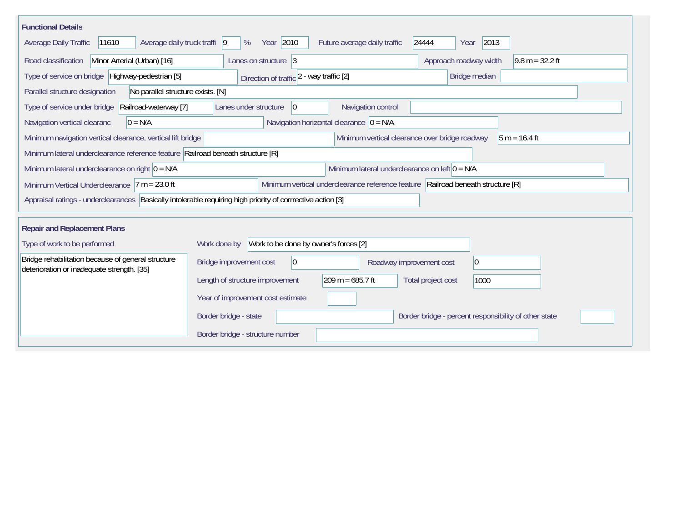| <b>Functional Details</b><br>Year 2010<br>2013<br>Average daily truck traffi<br> 9<br>Future average daily traffic<br>24444<br>Average Daily Traffic<br>11610<br>%<br>Year |                                                                                                                                         |  |  |  |  |  |  |  |  |  |
|----------------------------------------------------------------------------------------------------------------------------------------------------------------------------|-----------------------------------------------------------------------------------------------------------------------------------------|--|--|--|--|--|--|--|--|--|
| Road classification<br>Minor Arterial (Urban) [16]<br>Lanes on structure 3<br>Approach roadway width<br>$9.8 m = 32.2 ft$                                                  |                                                                                                                                         |  |  |  |  |  |  |  |  |  |
| Type of service on bridge Highway-pedestrian [5]                                                                                                                           | Bridge median<br>Direction of traffic 2 - way traffic [2]                                                                               |  |  |  |  |  |  |  |  |  |
| Parallel structure designation<br>No parallel structure exists. [N]                                                                                                        |                                                                                                                                         |  |  |  |  |  |  |  |  |  |
| Type of service under bridge<br>Railroad-waterway [7]                                                                                                                      | Navigation control<br> 0 <br>Lanes under structure                                                                                      |  |  |  |  |  |  |  |  |  |
| Navigation horizontal clearance $ 0 = N/A $<br>$0 = N/A$<br>Navigation vertical clearanc                                                                                   |                                                                                                                                         |  |  |  |  |  |  |  |  |  |
|                                                                                                                                                                            | Minimum vertical clearance over bridge roadway<br>Minimum navigation vertical clearance, vertical lift bridge<br>$\sqrt{5}$ m = 16.4 ft |  |  |  |  |  |  |  |  |  |
| Minimum lateral underclearance reference feature Railroad beneath structure [R]                                                                                            |                                                                                                                                         |  |  |  |  |  |  |  |  |  |
| Minimum lateral underclearance on right $0 = N/A$                                                                                                                          | Minimum lateral underclearance on left $0 = N/A$                                                                                        |  |  |  |  |  |  |  |  |  |
| Minimum Vertical Underclearance $ 7 m = 23.0 ft$                                                                                                                           | Minimum vertical underclearance reference feature Railroad beneath structure [R]                                                        |  |  |  |  |  |  |  |  |  |
|                                                                                                                                                                            | Appraisal ratings - underclearances Basically intolerable requiring high priority of corrrective action [3]                             |  |  |  |  |  |  |  |  |  |
| <b>Repair and Replacement Plans</b>                                                                                                                                        |                                                                                                                                         |  |  |  |  |  |  |  |  |  |
| Type of work to be performed                                                                                                                                               | Work to be done by owner's forces [2]<br>Work done by                                                                                   |  |  |  |  |  |  |  |  |  |
| Bridge rehabilitation because of general structure<br>deterioration or inadequate strength. [35]                                                                           | $\overline{0}$<br>Bridge improvement cost<br>$ 0\rangle$<br>Roadway improvement cost                                                    |  |  |  |  |  |  |  |  |  |
|                                                                                                                                                                            | $209 m = 685.7 ft$<br>Length of structure improvement<br>Total project cost<br>1000                                                     |  |  |  |  |  |  |  |  |  |
|                                                                                                                                                                            | Year of improvement cost estimate                                                                                                       |  |  |  |  |  |  |  |  |  |
|                                                                                                                                                                            | Border bridge - state<br>Border bridge - percent responsibility of other state                                                          |  |  |  |  |  |  |  |  |  |
|                                                                                                                                                                            | Border bridge - structure number                                                                                                        |  |  |  |  |  |  |  |  |  |